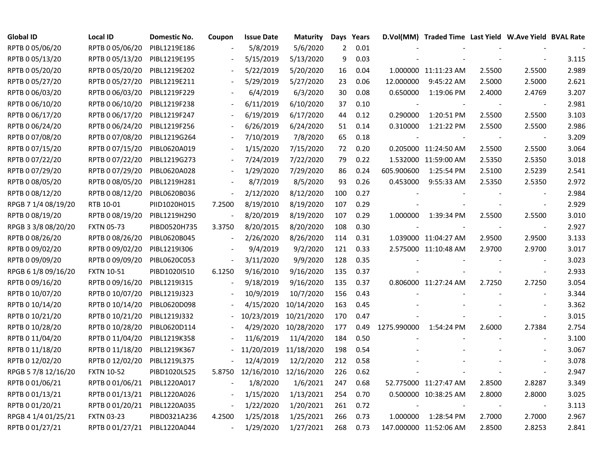| <b>Global ID</b>    | <b>Local ID</b>   | Domestic No. | Coupon                   | <b>Issue Date</b>     | <b>Maturity</b> |                | Days Years |             | D.Vol(MM) Traded Time Last Yield W.Ave Yield BVAL Rate |        |                          |       |
|---------------------|-------------------|--------------|--------------------------|-----------------------|-----------------|----------------|------------|-------------|--------------------------------------------------------|--------|--------------------------|-------|
| RPTB 0 05/06/20     | RPTB 0 05/06/20   | PIBL1219E186 |                          | 5/8/2019              | 5/6/2020        | $\overline{2}$ | 0.01       |             |                                                        |        |                          |       |
| RPTB 0 05/13/20     | RPTB 0 05/13/20   | PIBL1219E195 |                          | 5/15/2019             | 5/13/2020       | 9              | 0.03       |             |                                                        |        |                          | 3.115 |
| RPTB 0 05/20/20     | RPTB 0 05/20/20   | PIBL1219E202 |                          | 5/22/2019             | 5/20/2020       | 16             | 0.04       |             | 1.000000 11:11:23 AM                                   | 2.5500 | 2.5500                   | 2.989 |
| RPTB 0 05/27/20     | RPTB 0 05/27/20   | PIBL1219E211 |                          | 5/29/2019             | 5/27/2020       | 23             | 0.06       | 12.000000   | 9:45:22 AM                                             | 2.5000 | 2.5000                   | 2.621 |
| RPTB 0 06/03/20     | RPTB 0 06/03/20   | PIBL1219F229 |                          | 6/4/2019              | 6/3/2020        | 30             | 0.08       | 0.650000    | 1:19:06 PM                                             | 2.4000 | 2.4769                   | 3.207 |
| RPTB 0 06/10/20     | RPTB 0 06/10/20   | PIBL1219F238 |                          | 6/11/2019             | 6/10/2020       | 37             | 0.10       |             |                                                        |        | $\blacksquare$           | 2.981 |
| RPTB 0 06/17/20     | RPTB 0 06/17/20   | PIBL1219F247 | $\blacksquare$           | 6/19/2019             | 6/17/2020       | 44             | 0.12       | 0.290000    | 1:20:51 PM                                             | 2.5500 | 2.5500                   | 3.103 |
| RPTB 0 06/24/20     | RPTB 0 06/24/20   | PIBL1219F256 |                          | 6/26/2019             | 6/24/2020       | 51             | 0.14       | 0.310000    | 1:21:22 PM                                             | 2.5500 | 2.5500                   | 2.986 |
| RPTB 0 07/08/20     | RPTB 0 07/08/20   | PIBL1219G264 |                          | 7/10/2019             | 7/8/2020        | 65             | 0.18       |             |                                                        |        |                          | 3.209 |
| RPTB 0 07/15/20     | RPTB 0 07/15/20   | PIBL0620A019 |                          | 1/15/2020             | 7/15/2020       | 72             | 0.20       |             | 0.205000 11:24:50 AM                                   | 2.5500 | 2.5500                   | 3.064 |
| RPTB 0 07/22/20     | RPTB 0 07/22/20   | PIBL1219G273 |                          | 7/24/2019             | 7/22/2020       | 79             | 0.22       |             | 1.532000 11:59:00 AM                                   | 2.5350 | 2.5350                   | 3.018 |
| RPTB 0 07/29/20     | RPTB 0 07/29/20   | PIBL0620A028 |                          | 1/29/2020             | 7/29/2020       | 86             | 0.24       | 605.900600  | 1:25:54 PM                                             | 2.5100 | 2.5239                   | 2.541 |
| RPTB 0 08/05/20     | RPTB 0 08/05/20   | PIBL1219H281 |                          | 8/7/2019              | 8/5/2020        | 93             | 0.26       | 0.453000    | 9:55:33 AM                                             | 2.5350 | 2.5350                   | 2.972 |
| RPTB 0 08/12/20     | RPTB 0 08/12/20   | PIBL0620B036 | $\overline{\phantom{a}}$ | 2/12/2020             | 8/12/2020       | 100            | 0.27       |             |                                                        |        |                          | 2.984 |
| RPGB 7 1/4 08/19/20 | RTB 10-01         | PIID1020H015 | 7.2500                   | 8/19/2010             | 8/19/2020       | 107            | 0.29       |             |                                                        |        |                          | 2.929 |
| RPTB 0 08/19/20     | RPTB 0 08/19/20   | PIBL1219H290 |                          | 8/20/2019             | 8/19/2020       | 107            | 0.29       | 1.000000    | 1:39:34 PM                                             | 2.5500 | 2.5500                   | 3.010 |
| RPGB 3 3/8 08/20/20 | <b>FXTN 05-73</b> | PIBD0520H735 | 3.3750                   | 8/20/2015             | 8/20/2020       | 108            | 0.30       |             |                                                        |        | $\blacksquare$           | 2.927 |
| RPTB 0 08/26/20     | RPTB 0 08/26/20   | PIBL0620B045 |                          | 2/26/2020             | 8/26/2020       | 114            | 0.31       |             | 1.039000 11:04:27 AM                                   | 2.9500 | 2.9500                   | 3.133 |
| RPTB 0 09/02/20     | RPTB 0 09/02/20   | PIBL1219I306 | $\mathbf{r}$             | 9/4/2019              | 9/2/2020        | 121            | 0.33       |             | 2.575000 11:10:48 AM                                   | 2.9700 | 2.9700                   | 3.017 |
| RPTB 0 09/09/20     | RPTB 0 09/09/20   | PIBL0620C053 | $\blacksquare$           | 3/11/2020             | 9/9/2020        | 128            | 0.35       |             |                                                        |        | $\blacksquare$           | 3.023 |
| RPGB 6 1/8 09/16/20 | <b>FXTN 10-51</b> | PIBD1020I510 | 6.1250                   | 9/16/2010             | 9/16/2020       | 135            | 0.37       |             |                                                        |        | $\overline{\phantom{a}}$ | 2.933 |
| RPTB 0 09/16/20     | RPTB 0 09/16/20   | PIBL1219I315 |                          | 9/18/2019             | 9/16/2020       | 135            | 0.37       |             | 0.806000 11:27:24 AM                                   | 2.7250 | 2.7250                   | 3.054 |
| RPTB 0 10/07/20     | RPTB 0 10/07/20   | PIBL1219J323 |                          | 10/9/2019             | 10/7/2020       | 156            | 0.43       |             |                                                        |        | $\overline{\phantom{a}}$ | 3.344 |
| RPTB 0 10/14/20     | RPTB 0 10/14/20   | PIBL0620D098 |                          | 4/15/2020             | 10/14/2020      | 163            | 0.45       |             |                                                        |        | $\overline{\phantom{a}}$ | 3.362 |
| RPTB 0 10/21/20     | RPTB 0 10/21/20   | PIBL1219J332 |                          | 10/23/2019            | 10/21/2020      | 170            | 0.47       |             |                                                        |        | $\overline{\phantom{a}}$ | 3.015 |
| RPTB 0 10/28/20     | RPTB 0 10/28/20   | PIBL0620D114 |                          | 4/29/2020             | 10/28/2020      | 177            | 0.49       | 1275.990000 | 1:54:24 PM                                             | 2.6000 | 2.7384                   | 2.754 |
| RPTB 0 11/04/20     | RPTB 0 11/04/20   | PIBL1219K358 |                          | 11/6/2019             | 11/4/2020       | 184            | 0.50       |             |                                                        |        |                          | 3.100 |
| RPTB 0 11/18/20     | RPTB 0 11/18/20   | PIBL1219K367 |                          | 11/20/2019            | 11/18/2020      | 198            | 0.54       |             |                                                        |        |                          | 3.067 |
| RPTB 0 12/02/20     | RPTB 0 12/02/20   | PIBL1219L375 |                          | 12/4/2019             | 12/2/2020       | 212            | 0.58       |             |                                                        |        |                          | 3.078 |
| RPGB 5 7/8 12/16/20 | <b>FXTN 10-52</b> | PIBD1020L525 | 5.8750                   | 12/16/2010 12/16/2020 |                 | 226            | 0.62       |             |                                                        |        | $\overline{\phantom{a}}$ | 2.947 |
| RPTB 0 01/06/21     | RPTB 0 01/06/21   | PIBL1220A017 |                          | 1/8/2020              | 1/6/2021        | 247            | 0.68       |             | 52.775000 11:27:47 AM                                  | 2.8500 | 2.8287                   | 3.349 |
| RPTB 0 01/13/21     | RPTB 0 01/13/21   | PIBL1220A026 | $\blacksquare$           | 1/15/2020             | 1/13/2021       | 254            | 0.70       |             | 0.500000 10:38:25 AM                                   | 2.8000 | 2.8000                   | 3.025 |
| RPTB 0 01/20/21     | RPTB 0 01/20/21   | PIBL1220A035 | $\blacksquare$           | 1/22/2020             | 1/20/2021       | 261            | 0.72       |             |                                                        |        | $\blacksquare$           | 3.113 |
| RPGB 4 1/4 01/25/21 | <b>FXTN 03-23</b> | PIBD0321A236 | 4.2500                   | 1/25/2018             | 1/25/2021       | 266            | 0.73       | 1.000000    | 1:28:54 PM                                             | 2.7000 | 2.7000                   | 2.967 |
| RPTB 0 01/27/21     | RPTB 0 01/27/21   | PIBL1220A044 | $\sim$                   | 1/29/2020             | 1/27/2021       | 268            | 0.73       |             | 147.000000 11:52:06 AM                                 | 2.8500 | 2.8253                   | 2.841 |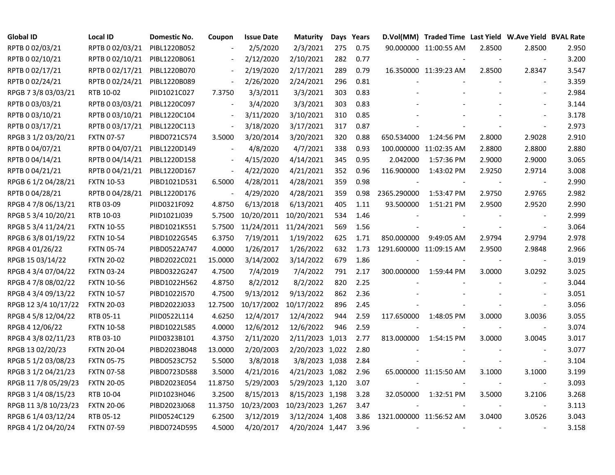| <b>Global ID</b>     | <b>Local ID</b>   | <b>Domestic No.</b> | Coupon                   | <b>Issue Date</b> | <b>Maturity</b>       |     | Days Years |                          | D.Vol(MM) Traded Time Last Yield W.Ave Yield BVAL Rate |        |                          |       |
|----------------------|-------------------|---------------------|--------------------------|-------------------|-----------------------|-----|------------|--------------------------|--------------------------------------------------------|--------|--------------------------|-------|
| RPTB 0 02/03/21      | RPTB 0 02/03/21   | PIBL1220B052        |                          | 2/5/2020          | 2/3/2021              | 275 | 0.75       |                          | 90.000000 11:00:55 AM                                  | 2.8500 | 2.8500                   | 2.950 |
| RPTB 0 02/10/21      | RPTB 0 02/10/21   | PIBL1220B061        |                          | 2/12/2020         | 2/10/2021             | 282 | 0.77       |                          |                                                        |        | $\overline{\phantom{a}}$ | 3.200 |
| RPTB 0 02/17/21      | RPTB 0 02/17/21   | PIBL1220B070        |                          | 2/19/2020         | 2/17/2021             | 289 | 0.79       |                          | 16.350000 11:39:23 AM                                  | 2.8500 | 2.8347                   | 3.547 |
| RPTB 0 02/24/21      | RPTB 0 02/24/21   | PIBL1220B089        | $\overline{\phantom{a}}$ | 2/26/2020         | 2/24/2021             | 296 | 0.81       |                          |                                                        |        |                          | 3.359 |
| RPGB 7 3/8 03/03/21  | RTB 10-02         | PIID1021C027        | 7.3750                   | 3/3/2011          | 3/3/2021              | 303 | 0.83       |                          |                                                        |        |                          | 2.984 |
| RPTB 0 03/03/21      | RPTB 0 03/03/21   | PIBL1220C097        | $\blacksquare$           | 3/4/2020          | 3/3/2021              | 303 | 0.83       |                          |                                                        |        |                          | 3.144 |
| RPTB 0 03/10/21      | RPTB 0 03/10/21   | PIBL1220C104        | $\blacksquare$           | 3/11/2020         | 3/10/2021             | 310 | 0.85       |                          |                                                        |        |                          | 3.178 |
| RPTB 0 03/17/21      | RPTB 0 03/17/21   | PIBL1220C113        | $\blacksquare$           | 3/18/2020         | 3/17/2021             | 317 | 0.87       |                          |                                                        |        |                          | 2.973 |
| RPGB 3 1/2 03/20/21  | <b>FXTN 07-57</b> | PIBD0721C574        | 3.5000                   | 3/20/2014         | 3/20/2021             | 320 | 0.88       | 650.534000               | 1:24:56 PM                                             | 2.8000 | 2.9028                   | 2.910 |
| RPTB 0 04/07/21      | RPTB 0 04/07/21   | PIBL1220D149        | $\blacksquare$           | 4/8/2020          | 4/7/2021              | 338 | 0.93       |                          | 100.000000 11:02:35 AM                                 | 2.8800 | 2.8800                   | 2.880 |
| RPTB 0 04/14/21      | RPTB 0 04/14/21   | PIBL1220D158        | $\overline{\phantom{a}}$ | 4/15/2020         | 4/14/2021             | 345 | 0.95       | 2.042000                 | 1:57:36 PM                                             | 2.9000 | 2.9000                   | 3.065 |
| RPTB 0 04/21/21      | RPTB 0 04/21/21   | PIBL1220D167        | $\blacksquare$           | 4/22/2020         | 4/21/2021             | 352 | 0.96       | 116.900000               | 1:43:02 PM                                             | 2.9250 | 2.9714                   | 3.008 |
| RPGB 6 1/2 04/28/21  | <b>FXTN 10-53</b> | PIBD1021D531        | 6.5000                   | 4/28/2011         | 4/28/2021             | 359 | 0.98       |                          |                                                        |        | $\overline{\phantom{a}}$ | 2.990 |
| RPTB 0 04/28/21      | RPTB 0 04/28/21   | PIBL1220D176        | $\blacksquare$           | 4/29/2020         | 4/28/2021             | 359 | 0.98       | 2365.290000              | 1:53:47 PM                                             | 2.9750 | 2.9765                   | 2.982 |
| RPGB 4 7/8 06/13/21  | RTB 03-09         | PIID0321F092        | 4.8750                   | 6/13/2018         | 6/13/2021             | 405 | 1.11       | 93.500000                | 1:51:21 PM                                             | 2.9500 | 2.9520                   | 2.990 |
| RPGB 5 3/4 10/20/21  | RTB 10-03         | PIID1021J039        | 5.7500                   | 10/20/2011        | 10/20/2021            | 534 | 1.46       |                          |                                                        |        |                          | 2.999 |
| RPGB 5 3/4 11/24/21  | <b>FXTN 10-55</b> | PIBD1021K551        | 5.7500                   |                   | 11/24/2011 11/24/2021 | 569 | 1.56       |                          |                                                        |        | $\sim$                   | 3.064 |
| RPGB 6 3/8 01/19/22  | <b>FXTN 10-54</b> | PIBD1022G545        | 6.3750                   | 7/19/2011         | 1/19/2022             | 625 | 1.71       | 850.000000               | 9:49:05 AM                                             | 2.9794 | 2.9794                   | 2.978 |
| RPGB 4 01/26/22      | <b>FXTN 05-74</b> | PIBD0522A747        | 4.0000                   | 1/26/2017         | 1/26/2022             | 632 | 1.73       | 1291.600000 11:09:15 AM  |                                                        | 2.9500 | 2.9848                   | 2.966 |
| RPGB 15 03/14/22     | <b>FXTN 20-02</b> | PIBD2022C021        | 15.0000                  | 3/14/2002         | 3/14/2022             | 679 | 1.86       |                          |                                                        |        | $\blacksquare$           | 3.019 |
| RPGB 4 3/4 07/04/22  | <b>FXTN 03-24</b> | PIBD0322G247        | 4.7500                   | 7/4/2019          | 7/4/2022              | 791 | 2.17       | 300.000000               | 1:59:44 PM                                             | 3.0000 | 3.0292                   | 3.025 |
| RPGB 4 7/8 08/02/22  | <b>FXTN 10-56</b> | PIBD1022H562        | 4.8750                   | 8/2/2012          | 8/2/2022              | 820 | 2.25       |                          |                                                        |        | $\sim$                   | 3.044 |
| RPGB 4 3/4 09/13/22  | <b>FXTN 10-57</b> | PIBD1022I570        | 4.7500                   | 9/13/2012         | 9/13/2022             | 862 | 2.36       |                          |                                                        |        | $\blacksquare$           | 3.051 |
| RPGB 12 3/4 10/17/22 | <b>FXTN 20-03</b> | PIBD2022J033        | 12.7500                  |                   | 10/17/2002 10/17/2022 | 896 | 2.45       |                          |                                                        |        | $\blacksquare$           | 3.056 |
| RPGB 4 5/8 12/04/22  | RTB 05-11         | PIID0522L114        | 4.6250                   | 12/4/2017         | 12/4/2022             | 944 | 2.59       | 117.650000               | 1:48:05 PM                                             | 3.0000 | 3.0036                   | 3.055 |
| RPGB 4 12/06/22      | <b>FXTN 10-58</b> | PIBD1022L585        | 4.0000                   | 12/6/2012         | 12/6/2022             | 946 | 2.59       |                          |                                                        |        | $\blacksquare$           | 3.074 |
| RPGB 4 3/8 02/11/23  | RTB 03-10         | PIID0323B101        | 4.3750                   | 2/11/2020         | 2/11/2023 1,013       |     | 2.77       | 813.000000               | 1:54:15 PM                                             | 3.0000 | 3.0045                   | 3.017 |
| RPGB 13 02/20/23     | <b>FXTN 20-04</b> | PIBD2023B048        | 13.0000                  | 2/20/2003         | 2/20/2023 1,022       |     | 2.80       |                          |                                                        |        |                          | 3.077 |
| RPGB 5 1/2 03/08/23  | <b>FXTN 05-75</b> | PIBD0523C752        | 5.5000                   | 3/8/2018          | 3/8/2023 1,038        |     | 2.84       |                          |                                                        |        | $\sim$                   | 3.104 |
| RPGB 3 1/2 04/21/23  | <b>FXTN 07-58</b> | PIBD0723D588        | 3.5000                   | 4/21/2016         | 4/21/2023 1,082       |     | 2.96       |                          | 65.000000 11:15:50 AM                                  | 3.1000 | 3.1000                   | 3.199 |
| RPGB 11 7/8 05/29/23 | <b>FXTN 20-05</b> | PIBD2023E054        | 11.8750                  | 5/29/2003         | 5/29/2023 1,120       |     | 3.07       |                          |                                                        |        | $\blacksquare$           | 3.093 |
| RPGB 3 1/4 08/15/23  | RTB 10-04         | PIID1023H046        | 3.2500                   | 8/15/2013         | 8/15/2023 1,198       |     | 3.28       | 32.050000                | 1:32:51 PM                                             | 3.5000 | 3.2106                   | 3.268 |
| RPGB 11 3/8 10/23/23 | <b>FXTN 20-06</b> | PIBD2023J068        | 11.3750                  | 10/23/2003        | 10/23/2023 1,267      |     | 3.47       |                          |                                                        |        | $\sim$                   | 3.113 |
| RPGB 6 1/4 03/12/24  | RTB 05-12         | PIID0524C129        | 6.2500                   | 3/12/2019         | 3/12/2024 1,408       |     | 3.86       | 1321.000000 11:56:52 AM  |                                                        | 3.0400 | 3.0526                   | 3.043 |
| RPGB 4 1/2 04/20/24  | <b>FXTN 07-59</b> | PIBD0724D595        | 4.5000                   | 4/20/2017         | 4/20/2024 1,447       |     | 3.96       | $\overline{\phantom{a}}$ |                                                        |        |                          | 3.158 |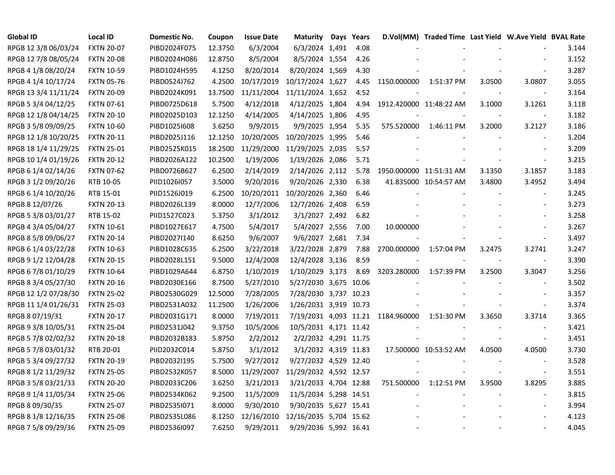| <b>Global ID</b>     | <b>Local ID</b>   | Domestic No. | Coupon  | <b>Issue Date</b> | <b>Maturity</b>        | Days Years |                                   | D.Vol(MM) Traded Time Last Yield W.Ave Yield BVAL Rate |        |                          |       |
|----------------------|-------------------|--------------|---------|-------------------|------------------------|------------|-----------------------------------|--------------------------------------------------------|--------|--------------------------|-------|
| RPGB 12 3/8 06/03/24 | <b>FXTN 20-07</b> | PIBD2024F075 | 12.3750 | 6/3/2004          | 6/3/2024 1,491         | 4.08       |                                   |                                                        |        |                          | 3.144 |
| RPGB 12 7/8 08/05/24 | <b>FXTN 20-08</b> | PIBD2024H086 | 12.8750 | 8/5/2004          | 8/5/2024 1,554         | 4.26       |                                   |                                                        |        |                          | 3.152 |
| RPGB 4 1/8 08/20/24  | <b>FXTN 10-59</b> | PIBD1024H595 | 4.1250  | 8/20/2014         | 8/20/2024 1,569        | 4.30       |                                   |                                                        |        | $\overline{\phantom{a}}$ | 3.287 |
| RPGB 4 1/4 10/17/24  | <b>FXTN 05-76</b> | PIBD0524J762 | 4.2500  | 10/17/2019        | 10/17/2024 1,627       | 4.45       | 1150.000000                       | 1:51:37 PM                                             | 3.0500 | 3.0807                   | 3.055 |
| RPGB 13 3/4 11/11/24 | <b>FXTN 20-09</b> | PIBD2024K091 | 13.7500 | 11/11/2004        | 11/11/2024 1,652       | 4.52       |                                   |                                                        |        | $\sim$                   | 3.164 |
| RPGB 5 3/4 04/12/25  | <b>FXTN 07-61</b> | PIBD0725D618 | 5.7500  | 4/12/2018         | 4/12/2025 1,804        | 4.94       | 1912.420000 11:48:22 AM           |                                                        | 3.1000 | 3.1261                   | 3.118 |
| RPGB 12 1/8 04/14/25 | <b>FXTN 20-10</b> | PIBD2025D103 | 12.1250 | 4/14/2005         | 4/14/2025 1,806        | 4.95       |                                   |                                                        |        |                          | 3.182 |
| RPGB 3 5/8 09/09/25  | <b>FXTN 10-60</b> | PIBD10251608 | 3.6250  | 9/9/2015          | 9/9/2025 1,954         | 5.35       |                                   | 575.520000 1:46:11 PM                                  | 3.2000 | 3.2127                   | 3.186 |
| RPGB 12 1/8 10/20/25 | <b>FXTN 20-11</b> | PIBD2025J116 | 12.1250 | 10/20/2005        | 10/20/2025 1,995       | 5.46       |                                   |                                                        |        | $\blacksquare$           | 3.204 |
| RPGB 18 1/4 11/29/25 | <b>FXTN 25-01</b> | PIBD2525K015 | 18.2500 | 11/29/2000        | 11/29/2025 2,035       | 5.57       |                                   |                                                        |        |                          | 3.209 |
| RPGB 10 1/4 01/19/26 | <b>FXTN 20-12</b> | PIBD2026A122 | 10.2500 | 1/19/2006         | 1/19/2026 2,086        | 5.71       |                                   |                                                        |        | $\sim$                   | 3.215 |
| RPGB 6 1/4 02/14/26  | <b>FXTN 07-62</b> | PIBD0726B627 | 6.2500  | 2/14/2019         | 2/14/2026 2,112        | 5.78       | 1950.000000 11:51:31 AM           |                                                        | 3.1350 | 3.1857                   | 3.183 |
| RPGB 3 1/2 09/20/26  | RTB 10-05         | PIID1026I057 | 3.5000  | 9/20/2016         | 9/20/2026 2,330        | 6.38       |                                   | 41.835000 10:54:57 AM                                  | 3.4800 | 3.4952                   | 3.494 |
| RPGB 6 1/4 10/20/26  | RTB 15-01         | PIID1526J019 | 6.2500  | 10/20/2011        | 10/20/2026 2,360       | 6.46       |                                   |                                                        |        | $\blacksquare$           | 3.245 |
| RPGB 8 12/07/26      | <b>FXTN 20-13</b> | PIBD2026L139 | 8.0000  | 12/7/2006         | 12/7/2026 2,408        | 6.59       |                                   |                                                        |        | $\sim$                   | 3.273 |
| RPGB 5 3/8 03/01/27  | RTB 15-02         | PIID1527C023 | 5.3750  | 3/1/2012          | 3/1/2027 2,492         | 6.82       |                                   |                                                        |        |                          | 3.258 |
| RPGB 4 3/4 05/04/27  | <b>FXTN 10-61</b> | PIBD1027E617 | 4.7500  | 5/4/2017          | 5/4/2027 2,556         | 7.00       | 10.000000                         |                                                        |        |                          | 3.267 |
| RPGB 8 5/8 09/06/27  | <b>FXTN 20-14</b> | PIBD2027I140 | 8.6250  | 9/6/2007          | 9/6/2027 2,681         | 7.34       |                                   |                                                        |        | $\overline{\phantom{a}}$ | 3.497 |
| RPGB 6 1/4 03/22/28  | <b>FXTN 10-63</b> | PIBD1028C635 | 6.2500  | 3/22/2018         | 3/22/2028 2,879        | 7.88       | 2700.000000                       | 1:57:04 PM                                             | 3.2475 | 3.2741                   | 3.247 |
| RPGB 9 1/2 12/04/28  | <b>FXTN 20-15</b> | PIBD2028L151 | 9.5000  | 12/4/2008         | 12/4/2028 3,136        | 8.59       |                                   |                                                        |        | $\blacksquare$           | 3.390 |
| RPGB 6 7/8 01/10/29  | <b>FXTN 10-64</b> | PIBD1029A644 | 6.8750  | 1/10/2019         | 1/10/2029 3,173        | 8.69       | 3203.280000                       | 1:57:39 PM                                             | 3.2500 | 3.3047                   | 3.256 |
| RPGB 8 3/4 05/27/30  | <b>FXTN 20-16</b> | PIBD2030E166 | 8.7500  | 5/27/2010         | 5/27/2030 3,675 10.06  |            |                                   |                                                        |        | $\sim$                   | 3.502 |
| RPGB 12 1/2 07/28/30 | <b>FXTN 25-02</b> | PIBD2530G029 | 12.5000 | 7/28/2005         | 7/28/2030 3,737 10.23  |            |                                   |                                                        |        | $\sim$                   | 3.357 |
| RPGB 11 1/4 01/26/31 | <b>FXTN 25-03</b> | PIBD2531A032 | 11.2500 | 1/26/2006         | 1/26/2031 3,919 10.73  |            |                                   |                                                        |        | $\blacksquare$           | 3.374 |
| RPGB 8 07/19/31      | <b>FXTN 20-17</b> | PIBD2031G171 | 8.0000  | 7/19/2011         |                        |            | 7/19/2031 4,093 11.21 1184.960000 | 1:51:30 PM                                             | 3.3650 | 3.3714                   | 3.365 |
| RPGB 9 3/8 10/05/31  | <b>FXTN 25-04</b> | PIBD2531J042 | 9.3750  | 10/5/2006         | 10/5/2031 4,171 11.42  |            |                                   |                                                        |        | $\blacksquare$           | 3.421 |
| RPGB 5 7/8 02/02/32  | <b>FXTN 20-18</b> | PIBD2032B183 | 5.8750  | 2/2/2012          | 2/2/2032 4,291 11.75   |            |                                   |                                                        |        | $\blacksquare$           | 3.451 |
| RPGB 5 7/8 03/01/32  | RTB 20-01         | PIID2032C014 | 5.8750  | 3/1/2012          | 3/1/2032 4,319 11.83   |            |                                   | 17.500000 10:53:52 AM                                  | 4.0500 | 4.0500                   | 3.730 |
| RPGB 5 3/4 09/27/32  | <b>FXTN 20-19</b> | PIBD2032I195 | 5.7500  | 9/27/2012         | 9/27/2032 4,529 12.40  |            |                                   |                                                        |        |                          | 3.528 |
| RPGB 8 1/2 11/29/32  | <b>FXTN 25-05</b> | PIBD2532K057 | 8.5000  | 11/29/2007        | 11/29/2032 4,592 12.57 |            |                                   |                                                        |        | $\sim$                   | 3.551 |
| RPGB 3 5/8 03/21/33  | <b>FXTN 20-20</b> | PIBD2033C206 | 3.6250  | 3/21/2013         | 3/21/2033 4,704 12.88  |            | 751.500000                        | 1:12:51 PM                                             | 3.9500 | 3.8295                   | 3.885 |
| RPGB 9 1/4 11/05/34  | <b>FXTN 25-06</b> | PIBD2534K062 | 9.2500  | 11/5/2009         | 11/5/2034 5,298 14.51  |            |                                   |                                                        |        | $\blacksquare$           | 3.815 |
| RPGB 8 09/30/35      | <b>FXTN 25-07</b> | PIBD2535I071 | 8.0000  | 9/30/2010         | 9/30/2035 5,627 15.41  |            |                                   |                                                        |        | $\overline{\phantom{a}}$ | 3.994 |
| RPGB 8 1/8 12/16/35  | <b>FXTN 25-08</b> | PIBD2535L086 | 8.1250  | 12/16/2010        | 12/16/2035 5,704 15.62 |            |                                   |                                                        |        |                          | 4.123 |
| RPGB 7 5/8 09/29/36  | <b>FXTN 25-09</b> | PIBD2536I097 | 7.6250  | 9/29/2011         | 9/29/2036 5,992 16.41  |            |                                   |                                                        |        |                          | 4.045 |